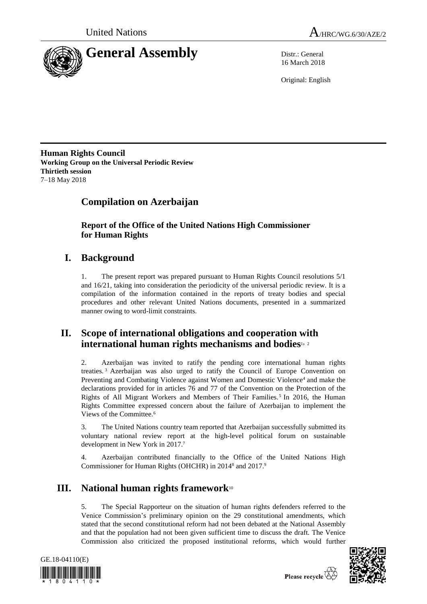



16 March 2018

Original: English

**Human Rights Council Working Group on the Universal Periodic Review Thirtieth session** 7–18 May 2018

# **Compilation on Azerbaijan**

**Report of the Office of the United Nations High Commissioner for Human Rights**

# **I. Background**

1. The present report was prepared pursuant to Human Rights Council resolutions 5/1 and 16/21, taking into consideration the periodicity of the universal periodic review. It is a compilation of the information contained in the reports of treaty bodies and special procedures and other relevant United Nations documents, presented in a summarized manner owing to word-limit constraints.

## **II. Scope of international obligations and cooperation with international human rights mechanisms and bodies**1, <sup>2</sup>

2. Azerbaijan was invited to ratify the pending core international human rights treaties. <sup>3</sup> Azerbaijan was also urged to ratify the Council of Europe Convention on Preventing and Combating Violence against Women and Domestic Violence<sup>4</sup> and make the declarations provided for in articles 76 and 77 of the Convention on the Protection of the Rights of All Migrant Workers and Members of Their Families.<sup>5</sup> In 2016, the Human Rights Committee expressed concern about the failure of Azerbaijan to implement the Views of the Committee.<sup>6</sup>

3. The United Nations country team reported that Azerbaijan successfully submitted its voluntary national review report at the high-level political forum on sustainable development in New York in 2017.<sup>7</sup>

4. Azerbaijan contributed financially to the Office of the United Nations High Commissioner for Human Rights (OHCHR) in 2014<sup>8</sup> and 2017.<sup>9</sup>

# **III. National human rights framework**<sup>10</sup>

5. The Special Rapporteur on the situation of human rights defenders referred to the Venice Commission's preliminary opinion on the 29 constitutional amendments, which stated that the second constitutional reform had not been debated at the National Assembly and that the population had not been given sufficient time to discuss the draft. The Venice Commission also criticized the proposed institutional reforms, which would further



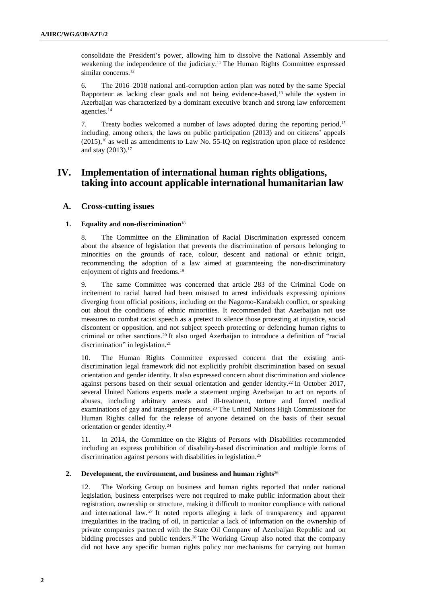consolidate the President's power, allowing him to dissolve the National Assembly and weakening the independence of the judiciary.<sup>11</sup> The Human Rights Committee expressed similar concerns.<sup>12</sup>

6. The 2016–2018 national anti-corruption action plan was noted by the same Special Rapporteur as lacking clear goals and not being evidence-based, <sup>13</sup> while the system in Azerbaijan was characterized by a dominant executive branch and strong law enforcement agencies.<sup>14</sup>

7. Treaty bodies welcomed a number of laws adopted during the reporting period,<sup>15</sup> including, among others, the laws on public participation (2013) and on citizens' appeals  $(2015)$ ,<sup>16</sup> as well as amendments to Law No. 55-IQ on registration upon place of residence and stay (2013).<sup>17</sup>

## **IV. Implementation of international human rights obligations, taking into account applicable international humanitarian law**

## **A. Cross-cutting issues**

#### **1. Equality and non-discrimination**<sup>18</sup>

8. The Committee on the Elimination of Racial Discrimination expressed concern about the absence of legislation that prevents the discrimination of persons belonging to minorities on the grounds of race, colour, descent and national or ethnic origin, recommending the adoption of a law aimed at guaranteeing the non-discriminatory enjoyment of rights and freedoms.<sup>19</sup>

9. The same Committee was concerned that article 283 of the Criminal Code on incitement to racial hatred had been misused to arrest individuals expressing opinions diverging from official positions, including on the Nagorno-Karabakh conflict, or speaking out about the conditions of ethnic minorities. It recommended that Azerbaijan not use measures to combat racist speech as a pretext to silence those protesting at injustice, social discontent or opposition, and not subject speech protecting or defending human rights to criminal or other sanctions.<sup>20</sup> It also urged Azerbaijan to introduce a definition of "racial discrimination" in legislation.<sup>21</sup>

10. The Human Rights Committee expressed concern that the existing antidiscrimination legal framework did not explicitly prohibit discrimination based on sexual orientation and gender identity. It also expressed concern about discrimination and violence against persons based on their sexual orientation and gender identity.<sup>22</sup> In October 2017, several United Nations experts made a statement urging Azerbaijan to act on reports of abuses, including arbitrary arrests and ill-treatment, torture and forced medical examinations of gay and transgender persons.<sup>23</sup> The United Nations High Commissioner for Human Rights called for the release of anyone detained on the basis of their sexual orientation or gender identity.<sup>24</sup>

11. In 2014, the Committee on the Rights of Persons with Disabilities recommended including an express prohibition of disability-based discrimination and multiple forms of discrimination against persons with disabilities in legislation.<sup>25</sup>

#### **2. Development, the environment, and business and human rights**<sup>26</sup>

12. The Working Group on business and human rights reported that under national legislation, business enterprises were not required to make public information about their registration, ownership or structure, making it difficult to monitor compliance with national and international law. <sup>27</sup> It noted reports alleging a lack of transparency and apparent irregularities in the trading of oil, in particular a lack of information on the ownership of private companies partnered with the State Oil Company of Azerbaijan Republic and on bidding processes and public tenders.<sup>28</sup> The Working Group also noted that the company did not have any specific human rights policy nor mechanisms for carrying out human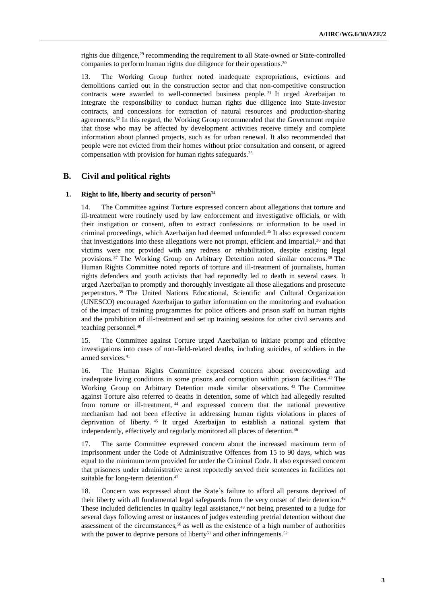rights due diligence,<sup>29</sup> recommending the requirement to all State-owned or State-controlled companies to perform human rights due diligence for their operations.<sup>30</sup>

13. The Working Group further noted inadequate expropriations, evictions and demolitions carried out in the construction sector and that non-competitive construction contracts were awarded to well-connected business people. <sup>31</sup> It urged Azerbaijan to integrate the responsibility to conduct human rights due diligence into State-investor contracts, and concessions for extraction of natural resources and production-sharing agreements.<sup>32</sup> In this regard, the Working Group recommended that the Government require that those who may be affected by development activities receive timely and complete information about planned projects, such as for urban renewal. It also recommended that people were not evicted from their homes without prior consultation and consent, or agreed compensation with provision for human rights safeguards.<sup>33</sup>

## **B. Civil and political rights**

#### **1. Right to life, liberty and security of person**<sup>34</sup>

14. The Committee against Torture expressed concern about allegations that torture and ill-treatment were routinely used by law enforcement and investigative officials, or with their instigation or consent, often to extract confessions or information to be used in criminal proceedings, which Azerbaijan had deemed unfounded.<sup>35</sup> It also expressed concern that investigations into these allegations were not prompt, efficient and impartial,<sup>36</sup> and that victims were not provided with any redress or rehabilitation, despite existing legal provisions. <sup>37</sup> The Working Group on Arbitrary Detention noted similar concerns. <sup>38</sup> The Human Rights Committee noted reports of torture and ill-treatment of journalists, human rights defenders and youth activists that had reportedly led to death in several cases. It urged Azerbaijan to promptly and thoroughly investigate all those allegations and prosecute perpetrators. <sup>39</sup> The United Nations Educational, Scientific and Cultural Organization (UNESCO) encouraged Azerbaijan to gather information on the monitoring and evaluation of the impact of training programmes for police officers and prison staff on human rights and the prohibition of ill-treatment and set up training sessions for other civil servants and teaching personnel.<sup>40</sup>

15. The Committee against Torture urged Azerbaijan to initiate prompt and effective investigations into cases of non-field-related deaths, including suicides, of soldiers in the armed services.<sup>41</sup>

16. The Human Rights Committee expressed concern about overcrowding and inadequate living conditions in some prisons and corruption within prison facilities.<sup>42</sup> The Working Group on Arbitrary Detention made similar observations. <sup>43</sup> The Committee against Torture also referred to deaths in detention, some of which had allegedly resulted from torture or ill-treatment, <sup>44</sup> and expressed concern that the national preventive mechanism had not been effective in addressing human rights violations in places of deprivation of liberty. <sup>45</sup> It urged Azerbaijan to establish a national system that independently, effectively and regularly monitored all places of detention.<sup>46</sup>

17. The same Committee expressed concern about the increased maximum term of imprisonment under the Code of Administrative Offences from 15 to 90 days, which was equal to the minimum term provided for under the Criminal Code. It also expressed concern that prisoners under administrative arrest reportedly served their sentences in facilities not suitable for long-term detention.<sup>47</sup>

18. Concern was expressed about the State's failure to afford all persons deprived of their liberty with all fundamental legal safeguards from the very outset of their detention.<sup>48</sup> These included deficiencies in quality legal assistance,<sup>49</sup> not being presented to a judge for several days following arrest or instances of judges extending pretrial detention without due assessment of the circumstances,<sup>50</sup> as well as the existence of a high number of authorities with the power to deprive persons of liberty<sup>51</sup> and other infringements.<sup>52</sup>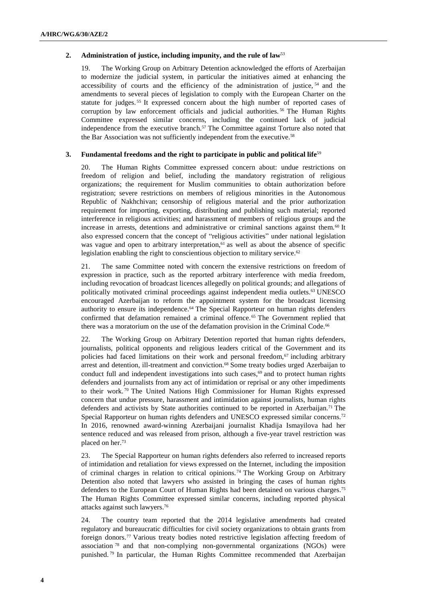#### **2. Administration of justice, including impunity, and the rule of law**<sup>53</sup>

19. The Working Group on Arbitrary Detention acknowledged the efforts of Azerbaijan to modernize the judicial system, in particular the initiatives aimed at enhancing the accessibility of courts and the efficiency of the administration of justice, <sup>54</sup> and the amendments to several pieces of legislation to comply with the European Charter on the statute for judges. <sup>55</sup> It expressed concern about the high number of reported cases of corruption by law enforcement officials and judicial authorities.<sup>56</sup> The Human Rights Committee expressed similar concerns, including the continued lack of judicial independence from the executive branch.<sup>57</sup> The Committee against Torture also noted that the Bar Association was not sufficiently independent from the executive.<sup>58</sup>

## **3. Fundamental freedoms and the right to participate in public and political life**<sup>59</sup>

20. The Human Rights Committee expressed concern about: undue restrictions on freedom of religion and belief, including the mandatory registration of religious organizations; the requirement for Muslim communities to obtain authorization before registration; severe restrictions on members of religious minorities in the Autonomous Republic of Nakhchivan; censorship of religious material and the prior authorization requirement for importing, exporting, distributing and publishing such material; reported interference in religious activities; and harassment of members of religious groups and the increase in arrests, detentions and administrative or criminal sanctions against them.<sup>60</sup> It also expressed concern that the concept of "religious activities" under national legislation was vague and open to arbitrary interpretation,<sup>61</sup> as well as about the absence of specific legislation enabling the right to conscientious objection to military service.<sup>62</sup>

21. The same Committee noted with concern the extensive restrictions on freedom of expression in practice, such as the reported arbitrary interference with media freedom, including revocation of broadcast licences allegedly on political grounds; and allegations of politically motivated criminal proceedings against independent media outlets.<sup>63</sup> UNESCO encouraged Azerbaijan to reform the appointment system for the broadcast licensing authority to ensure its independence.<sup>64</sup> The Special Rapporteur on human rights defenders confirmed that defamation remained a criminal offence. <sup>65</sup> The Government replied that there was a moratorium on the use of the defamation provision in the Criminal Code.<sup>66</sup>

22. The Working Group on Arbitrary Detention reported that human rights defenders, journalists, political opponents and religious leaders critical of the Government and its policies had faced limitations on their work and personal freedom, $67$  including arbitrary arrest and detention, ill-treatment and conviction.<sup>68</sup> Some treaty bodies urged Azerbaijan to conduct full and independent investigations into such cases, $69$  and to protect human rights defenders and journalists from any act of intimidation or reprisal or any other impediments to their work. <sup>70</sup> The United Nations High Commissioner for Human Rights expressed concern that undue pressure, harassment and intimidation against journalists, human rights defenders and activists by State authorities continued to be reported in Azerbaijan.<sup>71</sup> The Special Rapporteur on human rights defenders and UNESCO expressed similar concerns.<sup>72</sup> In 2016, renowned award-winning Azerbaijani journalist Khadija Ismayilova had her sentence reduced and was released from prison, although a five-year travel restriction was placed on her.<sup>73</sup>

23. The Special Rapporteur on human rights defenders also referred to increased reports of intimidation and retaliation for views expressed on the Internet, including the imposition of criminal charges in relation to critical opinions. <sup>74</sup> The Working Group on Arbitrary Detention also noted that lawyers who assisted in bringing the cases of human rights defenders to the European Court of Human Rights had been detained on various charges.<sup>75</sup> The Human Rights Committee expressed similar concerns, including reported physical attacks against such lawyers.<sup>76</sup>

24. The country team reported that the 2014 legislative amendments had created regulatory and bureaucratic difficulties for civil society organizations to obtain grants from foreign donors.<sup>77</sup> Various treaty bodies noted restrictive legislation affecting freedom of association <sup>78</sup> and that non-complying non-governmental organizations (NGOs) were punished. <sup>79</sup> In particular, the Human Rights Committee recommended that Azerbaijan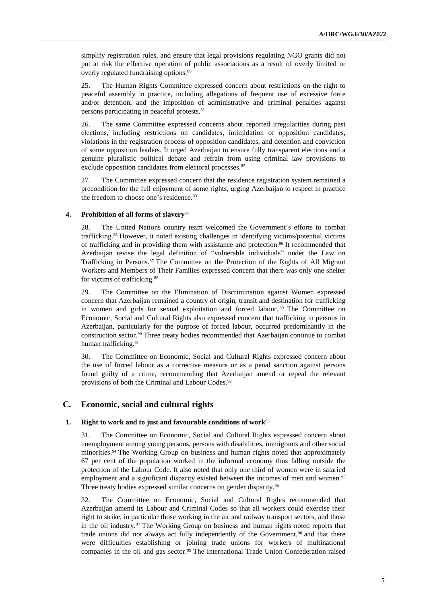simplify registration rules, and ensure that legal provisions regulating NGO grants did not put at risk the effective operation of public associations as a result of overly limited or overly regulated fundraising options.<sup>80</sup>

25. The Human Rights Committee expressed concern about restrictions on the right to peaceful assembly in practice, including allegations of frequent use of excessive force and/or detention, and the imposition of administrative and criminal penalties against persons participating in peaceful protests.<sup>81</sup>

26. The same Committee expressed concerns about reported irregularities during past elections, including restrictions on candidates, intimidation of opposition candidates, violations in the registration process of opposition candidates, and detention and conviction of some opposition leaders. It urged Azerbaijan to ensure fully transparent elections and a genuine pluralistic political debate and refrain from using criminal law provisions to exclude opposition candidates from electoral processes.<sup>82</sup>

27. The Committee expressed concern that the residence registration system remained a precondition for the full enjoyment of some rights, urging Azerbaijan to respect in practice the freedom to choose one's residence.<sup>83</sup>

#### **4. Prohibition of all forms of slavery**<sup>84</sup>

28. The United Nations country team welcomed the Government's efforts to combat trafficking.<sup>85</sup> However, it noted existing challenges in identifying victims/potential victims of trafficking and in providing them with assistance and protection.<sup>86</sup> It recommended that Azerbaijan revise the legal definition of "vulnerable individuals" under the Law on Trafficking in Persons.<sup>87</sup> The Committee on the Protection of the Rights of All Migrant Workers and Members of Their Families expressed concern that there was only one shelter for victims of trafficking.<sup>88</sup>

29. The Committee on the Elimination of Discrimination against Women expressed concern that Azerbaijan remained a country of origin, transit and destination for trafficking in women and girls for sexual exploitation and forced labour. <sup>89</sup> The Committee on Economic, Social and Cultural Rights also expressed concern that trafficking in persons in Azerbaijan, particularly for the purpose of forced labour, occurred predominantly in the construction sector.<sup>90</sup> Three treaty bodies recommended that Azerbaijan continue to combat human trafficking.<sup>91</sup>

30. The Committee on Economic, Social and Cultural Rights expressed concern about the use of forced labour as a corrective measure or as a penal sanction against persons found guilty of a crime, recommending that Azerbaijan amend or repeal the relevant provisions of both the Criminal and Labour Codes.<sup>92</sup>

## **C. Economic, social and cultural rights**

#### **1. Right to work and to just and favourable conditions of work**<sup>93</sup>

31. The Committee on Economic, Social and Cultural Rights expressed concern about unemployment among young persons, persons with disabilities, immigrants and other social minorities.<sup>94</sup> The Working Group on business and human rights noted that approximately 67 per cent of the population worked in the informal economy thus falling outside the protection of the Labour Code. It also noted that only one third of women were in salaried employment and a significant disparity existed between the incomes of men and women.<sup>95</sup> Three treaty bodies expressed similar concerns on gender disparity.<sup>96</sup>

32. The Committee on Economic, Social and Cultural Rights recommended that Azerbaijan amend its Labour and Criminal Codes so that all workers could exercise their right to strike, in particular those working in the air and railway transport sectors, and those in the oil industry.<sup>97</sup> The Working Group on business and human rights noted reports that trade unions did not always act fully independently of the Government,<sup>98</sup> and that there were difficulties establishing or joining trade unions for workers of multinational companies in the oil and gas sector.<sup>99</sup> The International Trade Union Confederation raised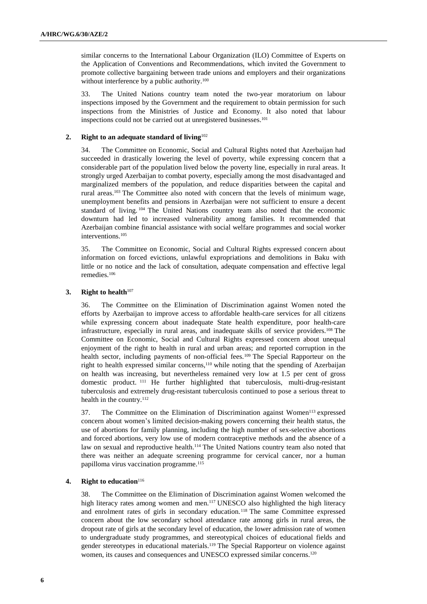similar concerns to the International Labour Organization (ILO) Committee of Experts on the Application of Conventions and Recommendations, which invited the Government to promote collective bargaining between trade unions and employers and their organizations without interference by a public authority.<sup>100</sup>

33. The United Nations country team noted the two-year moratorium on labour inspections imposed by the Government and the requirement to obtain permission for such inspections from the Ministries of Justice and Economy. It also noted that labour inspections could not be carried out at unregistered businesses.<sup>101</sup>

#### **2. Right to an adequate standard of living**<sup>102</sup>

34. The Committee on Economic, Social and Cultural Rights noted that Azerbaijan had succeeded in drastically lowering the level of poverty, while expressing concern that a considerable part of the population lived below the poverty line, especially in rural areas. It strongly urged Azerbaijan to combat poverty, especially among the most disadvantaged and marginalized members of the population, and reduce disparities between the capital and rural areas.<sup>103</sup> The Committee also noted with concern that the levels of minimum wage, unemployment benefits and pensions in Azerbaijan were not sufficient to ensure a decent standard of living. <sup>104</sup> The United Nations country team also noted that the economic downturn had led to increased vulnerability among families. It recommended that Azerbaijan combine financial assistance with social welfare programmes and social worker interventions.<sup>105</sup>

35. The Committee on Economic, Social and Cultural Rights expressed concern about information on forced evictions, unlawful expropriations and demolitions in Baku with little or no notice and the lack of consultation, adequate compensation and effective legal remedies.<sup>106</sup>

#### **3. Right to health**<sup>107</sup>

36. The Committee on the Elimination of Discrimination against Women noted the efforts by Azerbaijan to improve access to affordable health-care services for all citizens while expressing concern about inadequate State health expenditure, poor health-care infrastructure, especially in rural areas, and inadequate skills of service providers.<sup>108</sup> The Committee on Economic, Social and Cultural Rights expressed concern about unequal enjoyment of the right to health in rural and urban areas; and reported corruption in the health sector, including payments of non-official fees.<sup>109</sup> The Special Rapporteur on the right to health expressed similar concerns,<sup>110</sup> while noting that the spending of Azerbaijan on health was increasing, but nevertheless remained very low at 1.5 per cent of gross domestic product. <sup>111</sup> He further highlighted that tuberculosis, multi-drug-resistant tuberculosis and extremely drug-resistant tuberculosis continued to pose a serious threat to health in the country.<sup>112</sup>

37. The Committee on the Elimination of Discrimination against Women<sup>113</sup> expressed concern about women's limited decision-making powers concerning their health status, the use of abortions for family planning, including the high number of sex-selective abortions and forced abortions, very low use of modern contraceptive methods and the absence of a law on sexual and reproductive health.<sup>114</sup> The United Nations country team also noted that there was neither an adequate screening programme for cervical cancer, nor a human papilloma virus vaccination programme.<sup>115</sup>

### **4. Right to education**<sup>116</sup>

38. The Committee on the Elimination of Discrimination against Women welcomed the high literacy rates among women and men.<sup>117</sup> UNESCO also highlighted the high literacy and enrolment rates of girls in secondary education. <sup>118</sup> The same Committee expressed concern about the low secondary school attendance rate among girls in rural areas, the dropout rate of girls at the secondary level of education, the lower admission rate of women to undergraduate study programmes, and stereotypical choices of educational fields and gender stereotypes in educational materials.<sup>119</sup> The Special Rapporteur on violence against women, its causes and consequences and UNESCO expressed similar concerns.<sup>120</sup>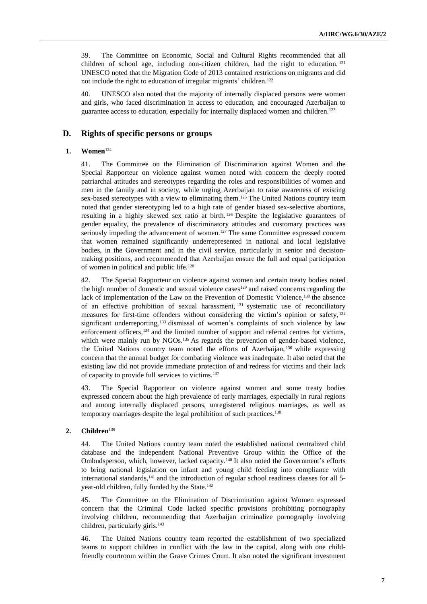39. The Committee on Economic, Social and Cultural Rights recommended that all children of school age, including non-citizen children, had the right to education.  $121$ UNESCO noted that the Migration Code of 2013 contained restrictions on migrants and did not include the right to education of irregular migrants' children.<sup>122</sup>

40. UNESCO also noted that the majority of internally displaced persons were women and girls, who faced discrimination in access to education, and encouraged Azerbaijan to guarantee access to education, especially for internally displaced women and children.<sup>123</sup>

## **D. Rights of specific persons or groups**

#### **1. Women**<sup>124</sup>

41. The Committee on the Elimination of Discrimination against Women and the Special Rapporteur on violence against women noted with concern the deeply rooted patriarchal attitudes and stereotypes regarding the roles and responsibilities of women and men in the family and in society, while urging Azerbaijan to raise awareness of existing sex-based stereotypes with a view to eliminating them.<sup>125</sup> The United Nations country team noted that gender stereotyping led to a high rate of gender biased sex-selective abortions, resulting in a highly skewed sex ratio at birth. <sup>126</sup> Despite the legislative guarantees of gender equality, the prevalence of discriminatory attitudes and customary practices was seriously impeding the advancement of women.<sup>127</sup> The same Committee expressed concern that women remained significantly underrepresented in national and local legislative bodies, in the Government and in the civil service, particularly in senior and decisionmaking positions, and recommended that Azerbaijan ensure the full and equal participation of women in political and public life.<sup>128</sup>

42. The Special Rapporteur on violence against women and certain treaty bodies noted the high number of domestic and sexual violence cases<sup>129</sup> and raised concerns regarding the lack of implementation of the Law on the Prevention of Domestic Violence,<sup>130</sup> the absence of an effective prohibition of sexual harassment, <sup>131</sup> systematic use of reconciliatory measures for first-time offenders without considering the victim's opinion or safety, <sup>132</sup> significant underreporting,<sup>133</sup> dismissal of women's complaints of such violence by law enforcement officers,<sup>134</sup> and the limited number of support and referral centres for victims, which were mainly run by NGOs.<sup>135</sup> As regards the prevention of gender-based violence, the United Nations country team noted the efforts of Azerbaijan, <sup>136</sup> while expressing concern that the annual budget for combating violence was inadequate. It also noted that the existing law did not provide immediate protection of and redress for victims and their lack of capacity to provide full services to victims.<sup>137</sup>

43. The Special Rapporteur on violence against women and some treaty bodies expressed concern about the high prevalence of early marriages, especially in rural regions and among internally displaced persons, unregistered religious marriages, as well as temporary marriages despite the legal prohibition of such practices.<sup>138</sup>

#### **2. Children**<sup>139</sup>

44. The United Nations country team noted the established national centralized child database and the independent National Preventive Group within the Office of the Ombudsperson, which, however, lacked capacity.<sup>140</sup> It also noted the Government's efforts to bring national legislation on infant and young child feeding into compliance with international standards, $141$  and the introduction of regular school readiness classes for all 5year-old children, fully funded by the State.<sup>142</sup>

45. The Committee on the Elimination of Discrimination against Women expressed concern that the Criminal Code lacked specific provisions prohibiting pornography involving children, recommending that Azerbaijan criminalize pornography involving children, particularly girls.<sup>143</sup>

46. The United Nations country team reported the establishment of two specialized teams to support children in conflict with the law in the capital, along with one childfriendly courtroom within the Grave Crimes Court. It also noted the significant investment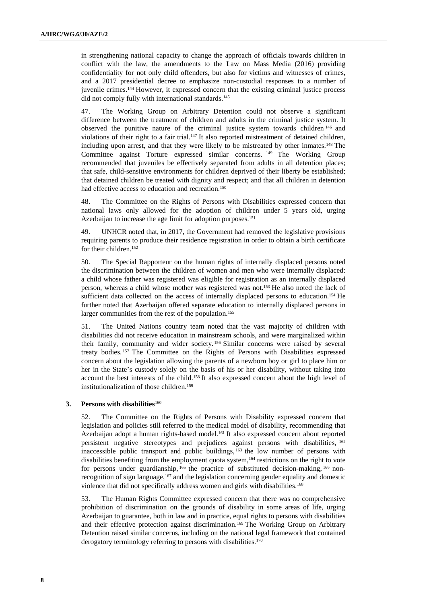in strengthening national capacity to change the approach of officials towards children in conflict with the law, the amendments to the Law on Mass Media (2016) providing confidentiality for not only child offenders, but also for victims and witnesses of crimes, and a 2017 presidential decree to emphasize non-custodial responses to a number of juvenile crimes.<sup>144</sup> However, it expressed concern that the existing criminal justice process did not comply fully with international standards.<sup>145</sup>

47. The Working Group on Arbitrary Detention could not observe a significant difference between the treatment of children and adults in the criminal justice system. It observed the punitive nature of the criminal justice system towards children <sup>146</sup> and violations of their right to a fair trial.<sup>147</sup> It also reported mistreatment of detained children, including upon arrest, and that they were likely to be mistreated by other inmates.<sup>148</sup> The Committee against Torture expressed similar concerns. <sup>149</sup> The Working Group recommended that juveniles be effectively separated from adults in all detention places; that safe, child-sensitive environments for children deprived of their liberty be established; that detained children be treated with dignity and respect; and that all children in detention had effective access to education and recreation.<sup>150</sup>

48. The Committee on the Rights of Persons with Disabilities expressed concern that national laws only allowed for the adoption of children under 5 years old, urging Azerbaijan to increase the age limit for adoption purposes.<sup>151</sup>

49. UNHCR noted that, in 2017, the Government had removed the legislative provisions requiring parents to produce their residence registration in order to obtain a birth certificate for their children.<sup>152</sup>

50. The Special Rapporteur on the human rights of internally displaced persons noted the discrimination between the children of women and men who were internally displaced: a child whose father was registered was eligible for registration as an internally displaced person, whereas a child whose mother was registered was not.<sup>153</sup> He also noted the lack of sufficient data collected on the access of internally displaced persons to education.<sup>154</sup> He further noted that Azerbaijan offered separate education to internally displaced persons in larger communities from the rest of the population.<sup>155</sup>

51. The United Nations country team noted that the vast majority of children with disabilities did not receive education in mainstream schools, and were marginalized within their family, community and wider society. <sup>156</sup> Similar concerns were raised by several treaty bodies. <sup>157</sup> The Committee on the Rights of Persons with Disabilities expressed concern about the legislation allowing the parents of a newborn boy or girl to place him or her in the State's custody solely on the basis of his or her disability, without taking into account the best interests of the child.<sup>158</sup> It also expressed concern about the high level of institutionalization of those children.<sup>159</sup>

#### **3. Persons with disabilities**<sup>160</sup>

52. The Committee on the Rights of Persons with Disability expressed concern that legislation and policies still referred to the medical model of disability, recommending that Azerbaijan adopt a human rights-based model.<sup>161</sup> It also expressed concern about reported persistent negative stereotypes and prejudices against persons with disabilities, <sup>162</sup> inaccessible public transport and public buildings, <sup>163</sup> the low number of persons with disabilities benefiting from the employment quota system,<sup>164</sup> restrictions on the right to vote for persons under guardianship, <sup>165</sup> the practice of substituted decision-making, <sup>166</sup> nonrecognition of sign language,<sup>167</sup> and the legislation concerning gender equality and domestic violence that did not specifically address women and girls with disabilities.<sup>168</sup>

53. The Human Rights Committee expressed concern that there was no comprehensive prohibition of discrimination on the grounds of disability in some areas of life, urging Azerbaijan to guarantee, both in law and in practice, equal rights to persons with disabilities and their effective protection against discrimination.<sup>169</sup> The Working Group on Arbitrary Detention raised similar concerns, including on the national legal framework that contained derogatory terminology referring to persons with disabilities.<sup>170</sup>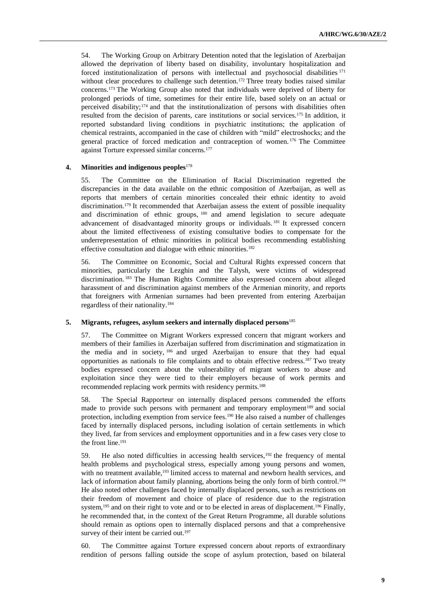54. The Working Group on Arbitrary Detention noted that the legislation of Azerbaijan allowed the deprivation of liberty based on disability, involuntary hospitalization and forced institutionalization of persons with intellectual and psychosocial disabilities <sup>171</sup> without clear procedures to challenge such detention.<sup>172</sup> Three treaty bodies raised similar concerns.<sup>173</sup> The Working Group also noted that individuals were deprived of liberty for prolonged periods of time, sometimes for their entire life, based solely on an actual or perceived disability;<sup>174</sup> and that the institutionalization of persons with disabilities often resulted from the decision of parents, care institutions or social services.<sup>175</sup> In addition, it reported substandard living conditions in psychiatric institutions; the application of chemical restraints, accompanied in the case of children with "mild" electroshocks; and the general practice of forced medication and contraception of women. <sup>176</sup> The Committee against Torture expressed similar concerns.<sup>177</sup>

#### **4. Minorities and indigenous peoples**<sup>178</sup>

55. The Committee on the Elimination of Racial Discrimination regretted the discrepancies in the data available on the ethnic composition of Azerbaijan, as well as reports that members of certain minorities concealed their ethnic identity to avoid discrimination.<sup>179</sup> It recommended that Azerbaijan assess the extent of possible inequality and discrimination of ethnic groups, <sup>180</sup> and amend legislation to secure adequate advancement of disadvantaged minority groups or individuals. <sup>181</sup> It expressed concern about the limited effectiveness of existing consultative bodies to compensate for the underrepresentation of ethnic minorities in political bodies recommending establishing effective consultation and dialogue with ethnic minorities.<sup>182</sup>

56. The Committee on Economic, Social and Cultural Rights expressed concern that minorities, particularly the Lezghin and the Talysh, were victims of widespread discrimination. <sup>183</sup> The Human Rights Committee also expressed concern about alleged harassment of and discrimination against members of the Armenian minority, and reports that foreigners with Armenian surnames had been prevented from entering Azerbaijan regardless of their nationality.<sup>184</sup>

#### **5. Migrants, refugees, asylum seekers and internally displaced persons**<sup>185</sup>

57. The Committee on Migrant Workers expressed concern that migrant workers and members of their families in Azerbaijan suffered from discrimination and stigmatization in the media and in society, <sup>186</sup> and urged Azerbaijan to ensure that they had equal opportunities as nationals to file complaints and to obtain effective redress.<sup>187</sup> Two treaty bodies expressed concern about the vulnerability of migrant workers to abuse and exploitation since they were tied to their employers because of work permits and recommended replacing work permits with residency permits.<sup>188</sup>

58. The Special Rapporteur on internally displaced persons commended the efforts made to provide such persons with permanent and temporary employment<sup>189</sup> and social protection, including exemption from service fees.<sup>190</sup> He also raised a number of challenges faced by internally displaced persons, including isolation of certain settlements in which they lived, far from services and employment opportunities and in a few cases very close to the front line.<sup>191</sup>

59. He also noted difficulties in accessing health services,<sup>192</sup> the frequency of mental health problems and psychological stress, especially among young persons and women, with no treatment available,<sup>193</sup> limited access to maternal and newborn health services, and lack of information about family planning, abortions being the only form of birth control.<sup>194</sup> He also noted other challenges faced by internally displaced persons, such as restrictions on their freedom of movement and choice of place of residence due to the registration system,<sup>195</sup> and on their right to vote and or to be elected in areas of displacement.<sup>196</sup> Finally, he recommended that, in the context of the Great Return Programme, all durable solutions should remain as options open to internally displaced persons and that a comprehensive survey of their intent be carried out.<sup>197</sup>

60. The Committee against Torture expressed concern about reports of extraordinary rendition of persons falling outside the scope of asylum protection, based on bilateral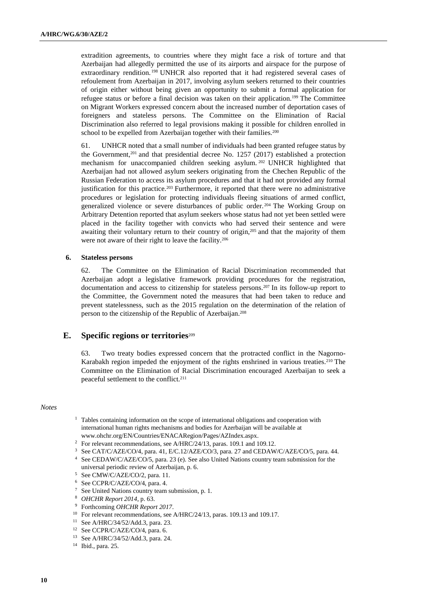extradition agreements, to countries where they might face a risk of torture and that Azerbaijan had allegedly permitted the use of its airports and airspace for the purpose of extraordinary rendition.<sup>198</sup> UNHCR also reported that it had registered several cases of refoulement from Azerbaijan in 2017, involving asylum seekers returned to their countries of origin either without being given an opportunity to submit a formal application for refugee status or before a final decision was taken on their application.<sup>199</sup> The Committee on Migrant Workers expressed concern about the increased number of deportation cases of foreigners and stateless persons. The Committee on the Elimination of Racial Discrimination also referred to legal provisions making it possible for children enrolled in school to be expelled from Azerbaijan together with their families.<sup>200</sup>

61. UNHCR noted that a small number of individuals had been granted refugee status by the Government,<sup>201</sup> and that presidential decree No. 1257 (2017) established a protection mechanism for unaccompanied children seeking asylum.<sup>202</sup> UNHCR highlighted that Azerbaijan had not allowed asylum seekers originating from the Chechen Republic of the Russian Federation to access its asylum procedures and that it had not provided any formal justification for this practice.<sup>203</sup> Furthermore, it reported that there were no administrative procedures or legislation for protecting individuals fleeing situations of armed conflict, generalized violence or severe disturbances of public order. <sup>204</sup> The Working Group on Arbitrary Detention reported that asylum seekers whose status had not yet been settled were placed in the facility together with convicts who had served their sentence and were awaiting their voluntary return to their country of origin,<sup>205</sup> and that the majority of them were not aware of their right to leave the facility.<sup>206</sup>

#### **6. Stateless persons**

62. The Committee on the Elimination of Racial Discrimination recommended that Azerbaijan adopt a legislative framework providing procedures for the registration, documentation and access to citizenship for stateless persons.<sup>207</sup> In its follow-up report to the Committee, the Government noted the measures that had been taken to reduce and prevent statelessness, such as the 2015 regulation on the determination of the relation of person to the citizenship of the Republic of Azerbaijan.<sup>208</sup>

## **E. Specific regions or territories**<sup>209</sup>

63. Two treaty bodies expressed concern that the protracted conflict in the Nagorno-Karabakh region impeded the enjoyment of the rights enshrined in various treaties.<sup>210</sup> The Committee on the Elimination of Racial Discrimination encouraged Azerbaijan to seek a peaceful settlement to the conflict.<sup>211</sup>

#### *Notes*

- <sup>1</sup> Tables containing information on the scope of international obligations and cooperation with international human rights mechanisms and bodies for Azerbaijan will be available at [www.ohchr.org/EN/Countries/ENACARegion/Pages/AZIndex.aspx.](http://www.ohchr.org/EN/Countries/ENACARegion/Pages/AZIndex.aspx)
- <sup>2</sup> For relevant recommendations, see A/HRC/24/13, paras. 109.1 and 109.12.
- <sup>3</sup> See CAT/C/AZE/CO/4, para. 41, E/C.12/AZE/CO/3, para. 27 and CEDAW/C/AZE/CO/5, para. 44. <sup>4</sup> See CEDAW/C/AZE/CO/5, para. 23 (e). See also United Nations country team submission for the universal periodic review of Azerbaijan, p. 6.
- <sup>5</sup> See CMW/C/AZE/CO/2, para. 11.
- <sup>6</sup> See CCPR/C/AZE/CO/4, para. 4.
- <sup>7</sup> See United Nations country team submission, p. 1.
- <sup>8</sup> *OHCHR Report 2014*, p. 63.
- <sup>9</sup> Forthcoming *OHCHR Report 2017*.
- <sup>10</sup> For relevant recommendations, see A/HRC/24/13, paras. 109.13 and 109.17.
- <sup>11</sup> See A/HRC/34/52/Add.3, para. 23.
- <sup>12</sup> See CCPR/C/AZE/CO/4, para. 6.
- <sup>13</sup> See A/HRC/34/52/Add.3, para. 24.

<sup>14</sup> Ibid., para. 25.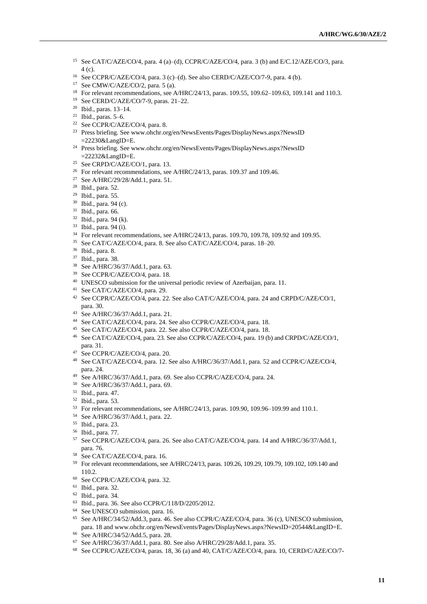- See CAT/C/AZE/CO/4, para. 4 (a)–(d), CCPR/C/AZE/CO/4, para. 3 (b) and E/C.12/AZE/CO/3, para. (c).
- See CCPR/C/AZE/CO/4, para. 3 (c)–(d). See also CERD/C/AZE/CO/7-9, para. 4 (b).
- See CMW/C/AZE/CO/2, para. 5 (a).
- <sup>18</sup> For relevant recommendations, see A/HRC/24/13, paras. 109.55, 109.62–109.63, 109.141 and 110.3.
- See CERD/C/AZE/CO/7-9, paras. 21–22.
- Ibid., paras. 13–14.
- Ibid., paras. 5–6.
- See CCPR/C/AZE/CO/4, para. 8.
- Press briefing. See [www.ohchr.org/en/NewsEvents/Pages/DisplayNews.aspx?NewsID](http://www.ohchr.org/en/NewsEvents/Pages/DisplayNews.aspx?NewsID=22230&LangID=E) [=22230&LangID=E.](http://www.ohchr.org/en/NewsEvents/Pages/DisplayNews.aspx?NewsID=22230&LangID=E)
- Press briefing. See [www.ohchr.org/en/NewsEvents/Pages/DisplayNews.aspx?NewsID](http://www.ohchr.org/en/NewsEvents/Pages/DisplayNews.aspx?NewsID=22232&LangID=E) [=22232&LangID=E.](http://www.ohchr.org/en/NewsEvents/Pages/DisplayNews.aspx?NewsID=22232&LangID=E)
- <sup>25</sup> See CRPD/C/AZE/CO/1, para. 13.
- <sup>26</sup> For relevant recommendations, see A/HRC/24/13, paras. 109.37 and 109.46.
- See A/HRC/29/28/Add.1, para. 51.
- Ibid., para. 52.
- Ibid., para. 55.
- Ibid., para. 94 (c).
- Ibid., para. 66.
- Ibid., para. 94 (k).
- Ibid., para. 94 (i).
- For relevant recommendations, see A/HRC/24/13, paras. 109.70, 109.78, 109.92 and 109.95.
- See CAT/C/AZE/CO/4, para. 8. See also CAT/C/AZE/CO/4, paras. 18–20.
- Ibid., para. 8.
- Ibid., para. 38.
- See A/HRC/36/37/Add.1, para. 63.
- See CCPR/C/AZE/CO/4, para. 18.
- <sup>40</sup> UNESCO submission for the universal periodic review of Azerbaijan, para. 11.
- See CAT/C/AZE/CO/4, para. 29.
- See CCPR/C/AZE/CO/4, para. 22. See also CAT/C/AZE/CO/4, para. 24 and CRPD/C/AZE/CO/1, para. 30.
- See A/HRC/36/37/Add.1, para. 21.
- See CAT/C/AZE/CO/4, para. 24. See also CCPR/C/AZE/CO/4, para. 18.
- See CAT/C/AZE/CO/4, para. 22. See also CCPR/C/AZE/CO/4, para. 18.
- See CAT/C/AZE/CO/4, para. 23. See also CCPR/C/AZE/CO/4, para. 19 (b) and CRPD/C/AZE/CO/1, para. 31.
- See CCPR/C/AZE/CO/4, para. 20.
- See CAT/C/AZE/CO/4, para. 12. See also A/HRC/36/37/Add.1, para. 52 and CCPR/C/AZE/CO/4, para. 24.
- See A/HRC/36/37/Add.1, para. 69. See also CCPR/C/AZE/CO/4, para. 24.
- See A/HRC/36/37/Add.1, para. 69.
- Ibid., para. 47.
- Ibid., para. 53.
- For relevant recommendations, see A/HRC/24/13, paras. 109.90, 109.96–109.99 and 110.1.
- See A/HRC/36/37/Add.1, para. 22.
- Ibid., para. 23.
- Ibid., para. 77.
- See CCPR/C/AZE/CO/4, para. 26. See also CAT/C/AZE/CO/4, para. 14 and A/HRC/36/37/Add.1, para. 76.
- See CAT/C/AZE/CO/4, para. 16.
- For relevant recommendations, see A/HRC/24/13, paras. 109.26, 109.29, 109.79, 109.102, 109.140 and 110.2.
- See CCPR/C/AZE/CO/4, para. 32.
- Ibid., para. 32.
- Ibid., para. 34.
- Ibid., para. 36. See also CCPR/C/118/D/2205/2012.
- See UNESCO submission, para. 16.
- See A/HRC/34/52/Add.3, para. 46. See also CCPR/C/AZE/CO/4, para. 36 (c), UNESCO submission, para. 18 and www.ohchr.org/en/NewsEvents/Pages/DisplayNews.aspx?NewsID=20544&LangID=E.
- See A/HRC/34/52/Add.5, para. 28.
- See A/HRC/36/37/Add.1, para. 80. See also A/HRC/29/28/Add.1, para. 35.
- See CCPR/C/AZE/CO/4, paras. 18, 36 (a) and 40, CAT/C/AZE/CO/4, para. 10, CERD/C/AZE/CO/7-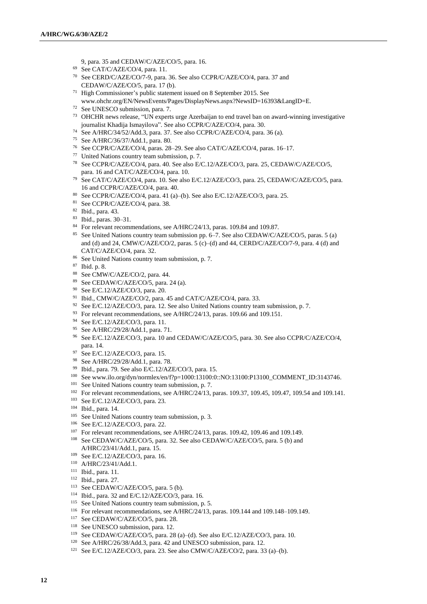- 9, para. 35 and CEDAW/C/AZE/CO/5, para. 16.
- See CAT/C/AZE/CO/4, para. 11.
- See CERD/C/AZE/CO/7-9, para. 36. See also CCPR/C/AZE/CO/4, para. 37 and CEDAW/C/AZE/CO/5, para. 17 (b).
- High Commissioner's public statement issued on 8 September 2015. See www.ohchr.org/EN/NewsEvents/Pages/DisplayNews.aspx?NewsID=16393&LangID=E.
- See UNESCO submission, para. 7.
- OHCHR news release, "UN experts urge Azerbaijan to end travel ban on award-winning investigative journalist Khadija Ismayilova". See also CCPR/C/AZE/CO/4, para. 30.
- See A/HRC/34/52/Add.3, para. 37. See also CCPR/C/AZE/CO/4, para. 36 (a).
- See A/HRC/36/37/Add.1, para. 80.
- See CCPR/C/AZE/CO/4, paras. 28–29. See also CAT/C/AZE/CO/4, paras. 16–17.
- United Nations country team submission, p. 7.
- See CCPR/C/AZE/CO/4, para. 40. See also E/C.12/AZE/CO/3, para. 25, CEDAW/C/AZE/CO/5, para. 16 and CAT/C/AZE/CO/4, para. 10.
- See CAT/C/AZE/CO/4, para. 10. See also E/C.12/AZE/CO/3, para. 25, CEDAW/C/AZE/CO/5, para. and CCPR/C/AZE/CO/4, para. 40.
- See CCPR/C/AZE/CO/4, para. 41 (a)–(b). See also E/C.12/AZE/CO/3, para. 25.
- See CCPR/C/AZE/CO/4, para. 38.
- Ibid., para. 43.
- Ibid., paras. 30–31.
- For relevant recommendations, see A/HRC/24/13, paras. 109.84 and 109.87.
- See United Nations country team submission pp. 6–7. See also CEDAW/C/AZE/CO/5, paras. 5 (a) and (d) and 24, CMW/C/AZE/CO/2, paras. 5 (c)–(d) and 44, CERD/C/AZE/CO/7-9, para. 4 (d) and CAT/C/AZE/CO/4, para. 32.
- See United Nations country team submission, p. 7.
- Ibid. p. 8.
- See CMW/C/AZE/CO/2, para. 44.
- See CEDAW/C/AZE/CO/5, para. 24 (a).
- See E/C.12/AZE/CO/3, para. 20.
- <sup>91</sup> Ibid., CMW/C/AZE/CO/2, para. 45 and CAT/C/AZE/CO/4, para. 33.
- <sup>92</sup> See E/C.12/AZE/CO/3, para. 12. See also United Nations country team submission, p. 7.
- <sup>93</sup> For relevant recommendations, see A/HRC/24/13, paras. 109.66 and 109.151.
- See E/C.12/AZE/CO/3, para. 11.
- See A/HRC/29/28/Add.1, para. 71.
- See E/C.12/AZE/CO/3, para. 10 and CEDAW/C/AZE/CO/5, para. 30. See also CCPR/C/AZE/CO/4, para. 14.
- See E/C.12/AZE/CO/3, para. 15.
- See A/HRC/29/28/Add.1, para. 78.
- Ibid., para. 79. See also E/C.12/AZE/CO/3, para. 15.
- See [www.ilo.org/dyn/normlex/en/f?p=1000:13100:0::NO:13100:P13100\\_COMMENT\\_ID:3143746.](http://www.ilo.org/dyn/normlex/en/f?p=1000:13100:0::NO:13100:P13100_COMMENT_ID:3143746)
- <sup>101</sup> See United Nations country team submission, p. 7.
- For relevant recommendations, see A/HRC/24/13, paras. 109.37, 109.45, 109.47, 109.54 and 109.141.
- See E/C.12/AZE/CO/3, para. 23.
- Ibid., para. 14.
- See United Nations country team submission, p. 3.
- See E/C.12/AZE/CO/3, para. 22.
- For relevant recommendations, see A/HRC/24/13, paras. 109.42, 109.46 and 109.149.
- See CEDAW/C/AZE/CO/5, para. 32. See also CEDAW/C/AZE/CO/5, para. 5 (b) and A/HRC/23/41/Add.1, para. 15.
- See E/C.12/AZE/CO/3, para. 16.
- A/HRC/23/41/Add.1.
- Ibid., para. 11.
- Ibid., para. 27.
- See CEDAW/C/AZE/CO/5, para. 5 (b).
- Ibid., para. 32 and E/C.12/AZE/CO/3, para. 16.
- <sup>115</sup> See United Nations country team submission, p. 5.
- For relevant recommendations, see A/HRC/24/13, paras. 109.144 and 109.148–109.149.
- <sup>117</sup> See CEDAW/C/AZE/CO/5, para. 28.
- <sup>118</sup> See UNESCO submission, para. 12.
- See CEDAW/C/AZE/CO/5, para. 28 (a)–(d). See also E/C.12/AZE/CO/3, para. 10.
- <sup>120</sup> See A/HRC/26/38/Add.3, para. 42 and UNESCO submission, para. 12.
- See E/C.12/AZE/CO/3, para. 23. See also CMW/C/AZE/CO/2, para. 33 (a)–(b).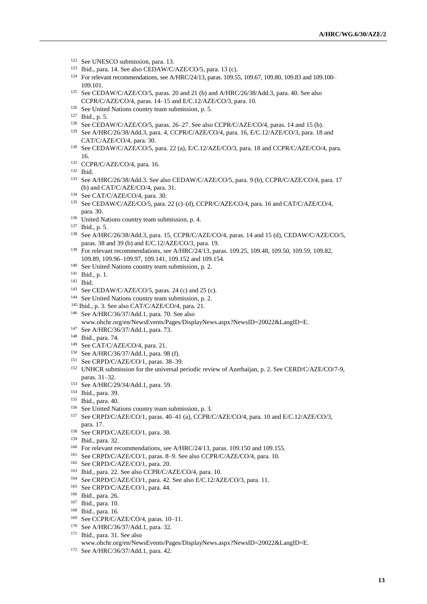- <sup>122</sup> See UNESCO submission, para. 13.
- Ibid., para. 14. See also CEDAW/C/AZE/CO/5, para. 13 (c).
- For relevant recommendations, see A/HRC/24/13, paras. 109.55, 109.67, 109.80, 109.83 and 109.100– 109.101.
- See CEDAW/C/AZE/CO/5, paras. 20 and 21 (b) and A/HRC/26/38/Add.3, para. 40. See also CCPR/C/AZE/CO/4, paras. 14–15 and E/C.12/AZE/CO/3, para. 10.
- See United Nations country team submission, p. 5.
- Ibid., p. 5.
- See CEDAW/C/AZE/CO/5, paras. 26–27. See also CCPR/C/AZE/CO/4, paras. 14 and 15 (b).
- See A/HRC/26/38/Add.3, para. 4, CCPR/C/AZE/CO/4, para. 16, E/C.12/AZE/CO/3, para. 18 and CAT/C/AZE/CO/4, para. 30.
- See CEDAW/C/AZE/CO/5, para. 22 (a), E/C.12/AZE/CO/3, para. 18 and CCPR/C/AZE/CO/4, para. 16.
- CCPR/C/AZE/CO/4, para. 16.
- Ibid.
- See A/HRC/26/38/Add.3. See also CEDAW/C/AZE/CO/5, para. 9 (b), CCPR/C/AZE/CO/4, para. 17 (b) and CAT/C/AZE/CO/4, para. 31.
- See CAT/C/AZE/CO/4, para. 30.
- See CEDAW/C/AZE/CO/5, para. 22 (c)–(d), CCPR/C/AZE/CO/4, para. 16 and CAT/C/AZE/CO/4, para. 30.
- <sup>136</sup> United Nations country team submission, p. 4.
- Ibid., p. 5.
- See A/HRC/26/38/Add.3, para. 15, CCPR/C/AZE/CO/4, paras. 14 and 15 (d), CEDAW/C/AZE/CO/5, paras. 38 and 39 (b) and E/C.12/AZE/CO/3, para. 19.
- <sup>139</sup> For relevant recommendations, see A/HRC/24/13, paras. 109.25, 109.48, 109.50, 109.59, 109.82, 109.89, 109.96–109.97, 109.141, 109.152 and 109.154.
- <sup>140</sup> See United Nations country team submission, p. 2.
- Ibid., p. 1.
- Ibid.
- See CEDAW/C/AZE/CO/5, paras. 24 (c) and 25 (c).
- <sup>144</sup> See United Nations country team submission, p. 2.
- Ibid., p. 3. See also CAT/C/AZE/CO/4, para. 21.
- See A/HRC/36/37/Add.1, para. 70. See also www.ohchr.org/en/NewsEvents/Pages/DisplayNews.aspx?NewsID=20022&LangID=E.
- See A/HRC/36/37/Add.1, para. 73.
- Ibid., para. 74.
- See CAT/C/AZE/CO/4, para. 21.
- See A/HRC/36/37/Add.1, para. 98 (f).
- See CRPD/C/AZE/CO/1, paras. 38–39.
- <sup>152</sup> UNHCR submission for the universal periodic review of Azerbaijan, p. 2. See CERD/C/AZE/CO/7-9, paras. 31–32.
- See A/HRC/29/34/Add.1, para. 59.
- Ibid., para. 39.
- Ibid., para. 40.
- See United Nations country team submission, p. 3.
- See CRPD/C/AZE/CO/1, paras. 40–41 (a), CCPR/C/AZE/CO/4, para. 10 and E/C.12/AZE/CO/3, para. 17.
- <sup>158</sup> See CRPD/C/AZE/CO/1, para. 38.
- Ibid., para. 32.
- <sup>160</sup> For relevant recommendations, see A/HRC/24/13, paras. 109.150 and 109.155.
- See CRPD/C/AZE/CO/1, paras. 8–9. See also CCPR/C/AZE/CO/4, para. 10.
- See CRPD/C/AZE/CO/1, para. 20.
- Ibid., para. 22. See also CCPR/C/AZE/CO/4, para. 10.
- See CRPD/C/AZE/CO/1, para. 42. See also E/C.12/AZE/CO/3, para. 11.
- See CRPD/C/AZE/CO/1, para. 44.
- Ibid., para. 26.
- Ibid., para. 10.
- Ibid., para. 16.
- See CCPR/C/AZE/CO/4, paras. 10–11.
- See A/HRC/36/37/Add.1, para. 32.
- Ibid., para. 31. See also
- www.ohchr.org/en/NewsEvents/Pages/DisplayNews.aspx?NewsID=20022&LangID=E.
- See A/HRC/36/37/Add.1, para. 42.